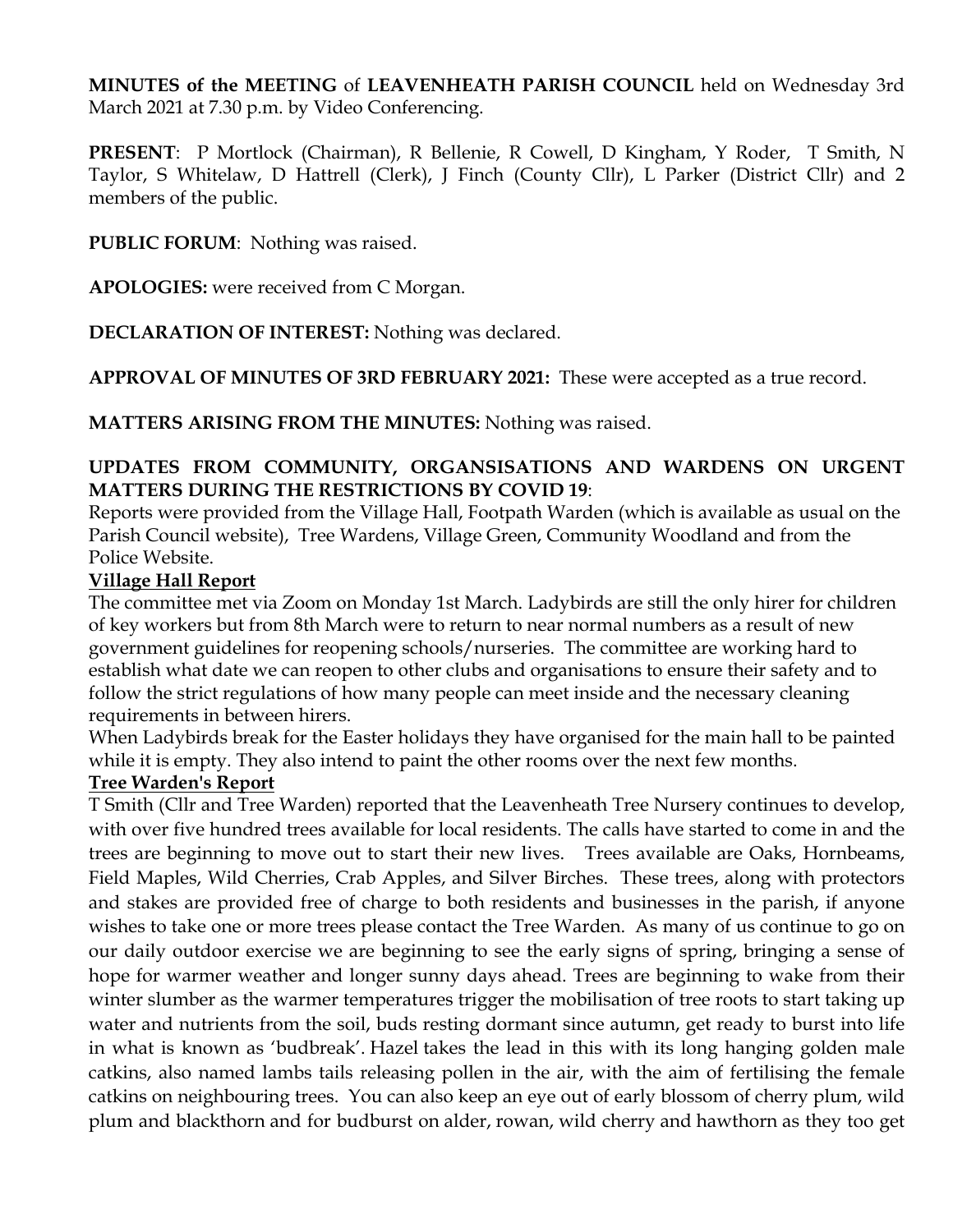**MINUTES of the MEETING** of **LEAVENHEATH PARISH COUNCIL** held on Wednesday 3rd March 2021 at 7.30 p.m. by Video Conferencing.

**PRESENT**: P Mortlock (Chairman), R Bellenie, R Cowell, D Kingham, Y Roder, T Smith, N Taylor, S Whitelaw, D Hattrell (Clerk), J Finch (County Cllr), L Parker (District Cllr) and 2 members of the public.

**PUBLIC FORUM**: Nothing was raised.

**APOLOGIES:** were received from C Morgan.

**DECLARATION OF INTEREST:** Nothing was declared.

**APPROVAL OF MINUTES OF 3RD FEBRUARY 2021:** These were accepted as a true record.

**MATTERS ARISING FROM THE MINUTES:** Nothing was raised.

## **UPDATES FROM COMMUNITY, ORGANSISATIONS AND WARDENS ON URGENT MATTERS DURING THE RESTRICTIONS BY COVID 19**:

Reports were provided from the Village Hall, Footpath Warden (which is available as usual on the Parish Council website), Tree Wardens, Village Green, Community Woodland and from the Police Website.

#### **Village Hall Report**

The committee met via Zoom on Monday 1st March. Ladybirds are still the only hirer for children of key workers but from 8th March were to return to near normal numbers as a result of new government guidelines for reopening schools/nurseries. The committee are working hard to establish what date we can reopen to other clubs and organisations to ensure their safety and to follow the strict regulations of how many people can meet inside and the necessary cleaning requirements in between hirers.

When Ladybirds break for the Easter holidays they have organised for the main hall to be painted while it is empty. They also intend to paint the other rooms over the next few months.

#### **Tree Warden's Report**

T Smith (Cllr and Tree Warden) reported that the Leavenheath Tree Nursery continues to develop, with over five hundred trees available for local residents. The calls have started to come in and the trees are beginning to move out to start their new lives. Trees available are Oaks, Hornbeams, Field Maples, Wild Cherries, Crab Apples, and Silver Birches. These trees, along with protectors and stakes are provided free of charge to both residents and businesses in the parish, if anyone wishes to take one or more trees please contact the Tree Warden. As many of us continue to go on our daily outdoor exercise we are beginning to see the early signs of spring, bringing a sense of hope for warmer weather and longer sunny days ahead. Trees are beginning to wake from their winter slumber as the warmer temperatures trigger the mobilisation of tree roots to start taking up water and nutrients from the soil, buds resting dormant since autumn, get ready to burst into life in what is known as 'budbreak'. Hazel takes the lead in this with its long hanging golden male catkins, also named lambs tails releasing pollen in the air, with the aim of fertilising the female catkins on neighbouring trees. You can also keep an eye out of early blossom of cherry plum, wild plum and blackthorn and for budburst on alder, rowan, wild cherry and hawthorn as they too get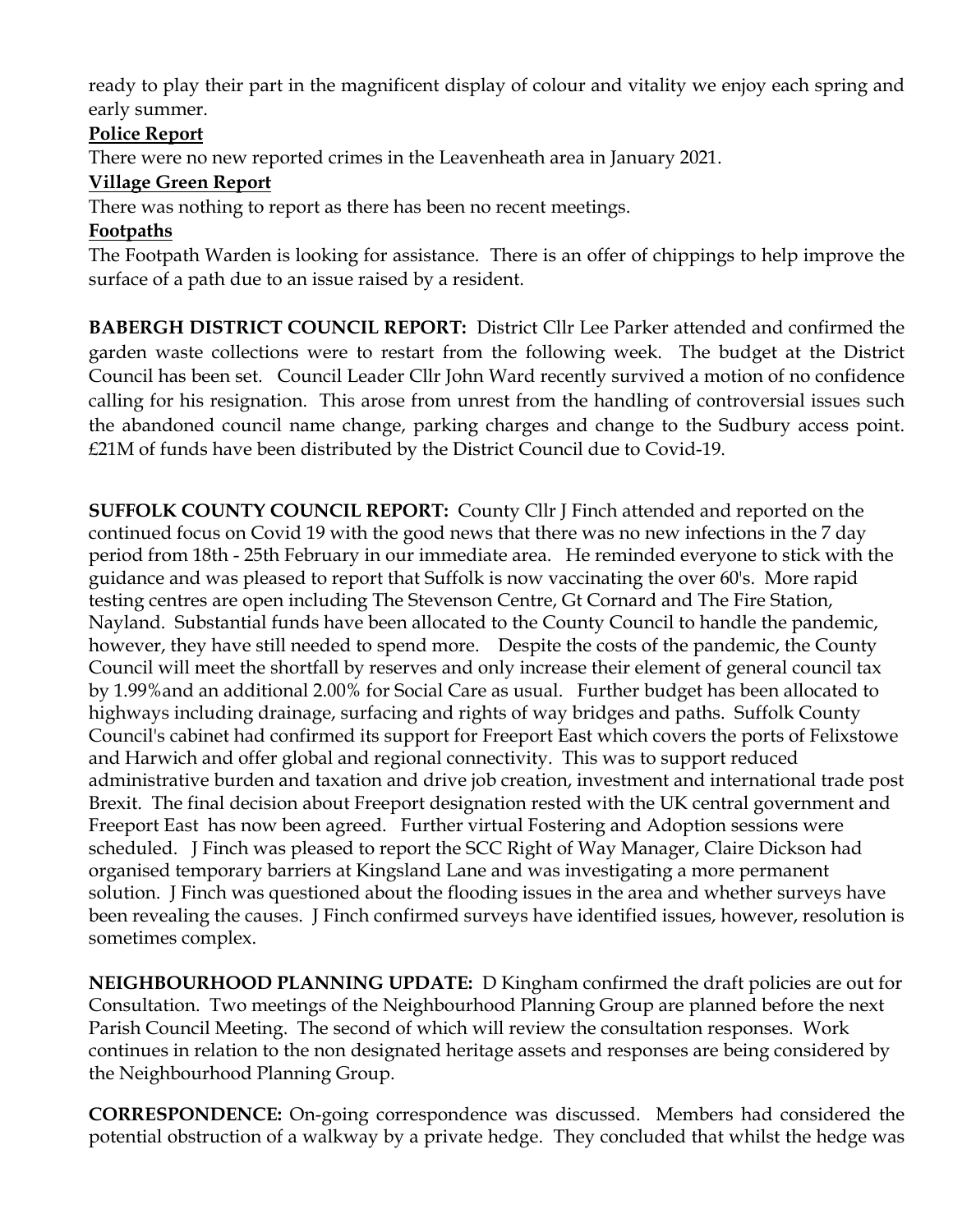ready to play their part in the magnificent display of colour and vitality we enjoy each spring and early summer.

## **Police Report**

There were no new reported crimes in the Leavenheath area in January 2021.

# **Village Green Report**

There was nothing to report as there has been no recent meetings.

## **Footpaths**

The Footpath Warden is looking for assistance. There is an offer of chippings to help improve the surface of a path due to an issue raised by a resident.

**BABERGH DISTRICT COUNCIL REPORT:** District Cllr Lee Parker attended and confirmed the garden waste collections were to restart from the following week. The budget at the District Council has been set. Council Leader Cllr John Ward recently survived a motion of no confidence calling for his resignation. This arose from unrest from the handling of controversial issues such the abandoned council name change, parking charges and change to the Sudbury access point. £21M of funds have been distributed by the District Council due to Covid-19.

**SUFFOLK COUNTY COUNCIL REPORT:** County Cllr J Finch attended and reported on the continued focus on Covid 19 with the good news that there was no new infections in the 7 day period from 18th - 25th February in our immediate area. He reminded everyone to stick with the guidance and was pleased to report that Suffolk is now vaccinating the over 60's. More rapid testing centres are open including The Stevenson Centre, Gt Cornard and The Fire Station, Nayland. Substantial funds have been allocated to the County Council to handle the pandemic, however, they have still needed to spend more. Despite the costs of the pandemic, the County Council will meet the shortfall by reserves and only increase their element of general council tax by 1.99%and an additional 2.00% for Social Care as usual. Further budget has been allocated to highways including drainage, surfacing and rights of way bridges and paths. Suffolk County Council's cabinet had confirmed its support for Freeport East which covers the ports of Felixstowe and Harwich and offer global and regional connectivity. This was to support reduced administrative burden and taxation and drive job creation, investment and international trade post Brexit. The final decision about Freeport designation rested with the UK central government and Freeport East has now been agreed. Further virtual Fostering and Adoption sessions were scheduled. J Finch was pleased to report the SCC Right of Way Manager, Claire Dickson had organised temporary barriers at Kingsland Lane and was investigating a more permanent solution. J Finch was questioned about the flooding issues in the area and whether surveys have been revealing the causes. J Finch confirmed surveys have identified issues, however, resolution is sometimes complex.

**NEIGHBOURHOOD PLANNING UPDATE:** D Kingham confirmed the draft policies are out for Consultation. Two meetings of the Neighbourhood Planning Group are planned before the next Parish Council Meeting. The second of which will review the consultation responses. Work continues in relation to the non designated heritage assets and responses are being considered by the Neighbourhood Planning Group.

**CORRESPONDENCE:** On-going correspondence was discussed. Members had considered the potential obstruction of a walkway by a private hedge. They concluded that whilst the hedge was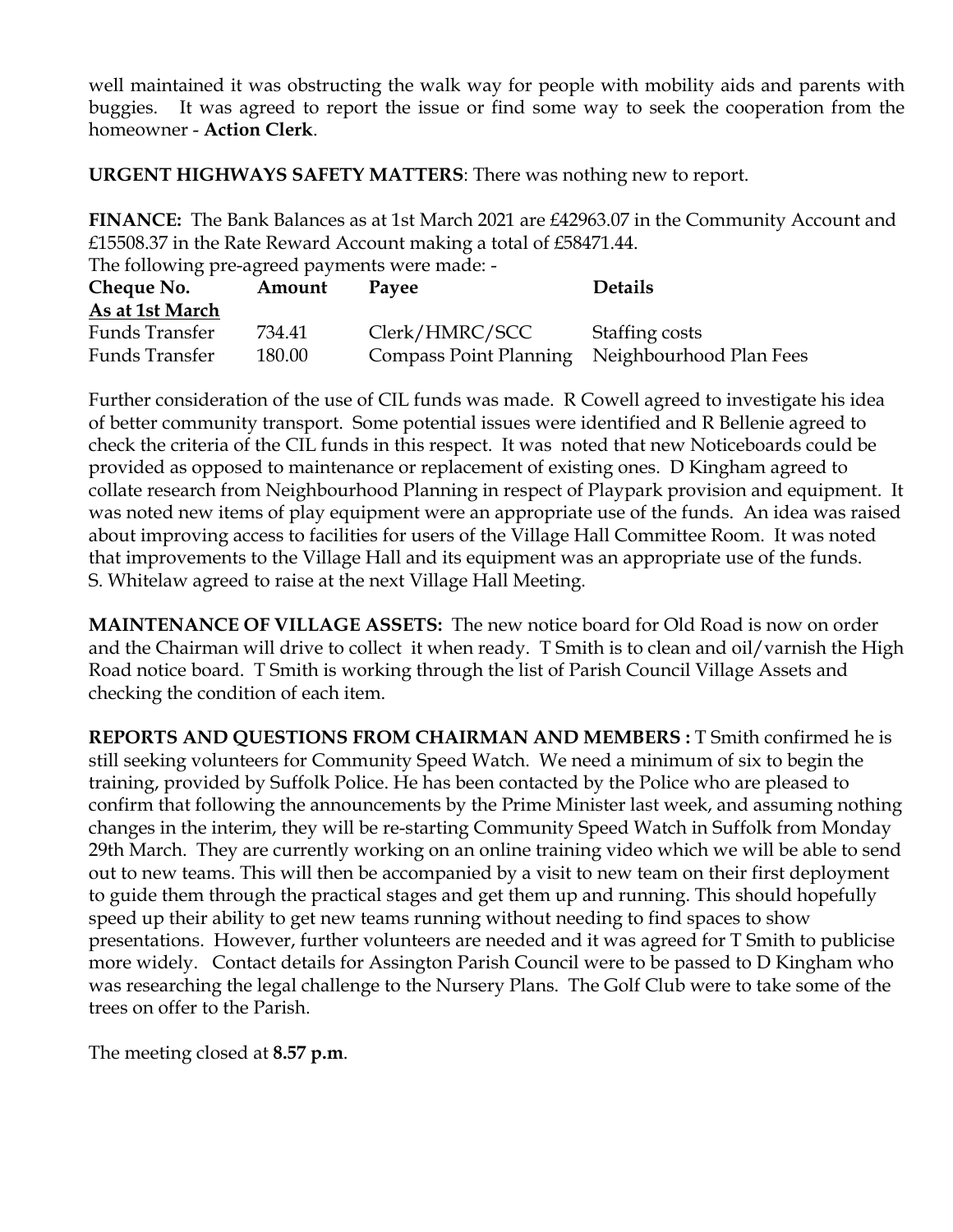well maintained it was obstructing the walk way for people with mobility aids and parents with buggies. It was agreed to report the issue or find some way to seek the cooperation from the homeowner - **Action Clerk**.

**URGENT HIGHWAYS SAFETY MATTERS**: There was nothing new to report.

**FINANCE:** The Bank Balances as at 1st March 2021 are £42963.07 in the Community Account and £15508.37 in the Rate Reward Account making a total of £58471.44.

The following pre-agreed payments were made: - **Cheque No. Amount Payee Details As at 1st March** Funds Transfer 734.41 Clerk/HMRC/SCC Staffing costs Funds Transfer 180.00 Compass Point Planning Neighbourhood Plan Fees

Further consideration of the use of CIL funds was made. R Cowell agreed to investigate his idea of better community transport. Some potential issues were identified and R Bellenie agreed to check the criteria of the CIL funds in this respect. It was noted that new Noticeboards could be provided as opposed to maintenance or replacement of existing ones. D Kingham agreed to collate research from Neighbourhood Planning in respect of Playpark provision and equipment. It was noted new items of play equipment were an appropriate use of the funds. An idea was raised about improving access to facilities for users of the Village Hall Committee Room. It was noted that improvements to the Village Hall and its equipment was an appropriate use of the funds. S. Whitelaw agreed to raise at the next Village Hall Meeting.

**MAINTENANCE OF VILLAGE ASSETS:** The new notice board for Old Road is now on order and the Chairman will drive to collect it when ready. T Smith is to clean and oil/varnish the High Road notice board. T Smith is working through the list of Parish Council Village Assets and checking the condition of each item.

**REPORTS AND QUESTIONS FROM CHAIRMAN AND MEMBERS :** T Smith confirmed he is still seeking volunteers for Community Speed Watch. We need a minimum of six to begin the training, provided by Suffolk Police. He has been contacted by the Police who are pleased to confirm that following the announcements by the Prime Minister last week, and assuming nothing changes in the interim, they will be re-starting Community Speed Watch in Suffolk from Monday 29th March. They are currently working on an online training video which we will be able to send out to new teams. This will then be accompanied by a visit to new team on their first deployment to guide them through the practical stages and get them up and running. This should hopefully speed up their ability to get new teams running without needing to find spaces to show presentations. However, further volunteers are needed and it was agreed for T Smith to publicise more widely. Contact details for Assington Parish Council were to be passed to D Kingham who was researching the legal challenge to the Nursery Plans. The Golf Club were to take some of the trees on offer to the Parish.

The meeting closed at **8.57 p.m**.